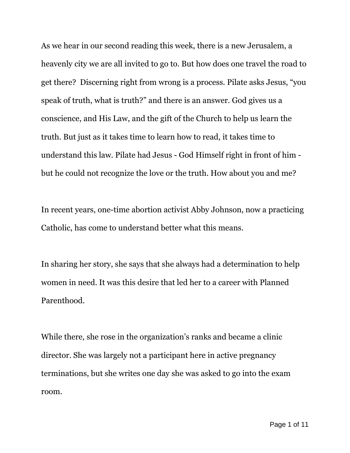As we hear in our second reading this week, there is a new Jerusalem, a heavenly city we are all invited to go to. But how does one travel the road to get there? Discerning right from wrong is a process. Pilate asks Jesus, "you speak of truth, what is truth?" and there is an answer. God gives us a conscience, and His Law, and the gift of the Church to help us learn the truth. But just as it takes time to learn how to read, it takes time to understand this law. Pilate had Jesus - God Himself right in front of him but he could not recognize the love or the truth. How about you and me?

In recent years, one-time abortion activist Abby Johnson, now a practicing Catholic, has come to understand better what this means.

In sharing her story, she says that she always had a determination to help women in need. It was this desire that led her to a career with Planned Parenthood.

While there, she rose in the organization's ranks and became a clinic director. She was largely not a participant here in active pregnancy terminations, but she writes one day she was asked to go into the exam room.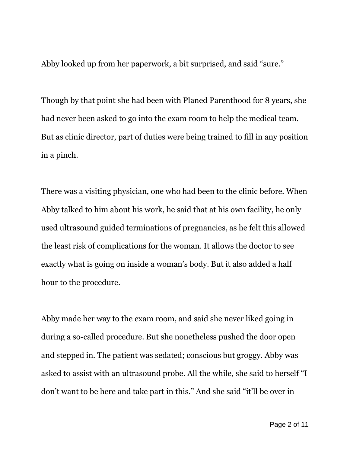Abby looked up from her paperwork, a bit surprised, and said "sure."

Though by that point she had been with Planed Parenthood for 8 years, she had never been asked to go into the exam room to help the medical team. But as clinic director, part of duties were being trained to fill in any position in a pinch.

There was a visiting physician, one who had been to the clinic before. When Abby talked to him about his work, he said that at his own facility, he only used ultrasound guided terminations of pregnancies, as he felt this allowed the least risk of complications for the woman. It allows the doctor to see exactly what is going on inside a woman's body. But it also added a half hour to the procedure.

Abby made her way to the exam room, and said she never liked going in during a so-called procedure. But she nonetheless pushed the door open and stepped in. The patient was sedated; conscious but groggy. Abby was asked to assist with an ultrasound probe. All the while, she said to herself "I don't want to be here and take part in this." And she said "it'll be over in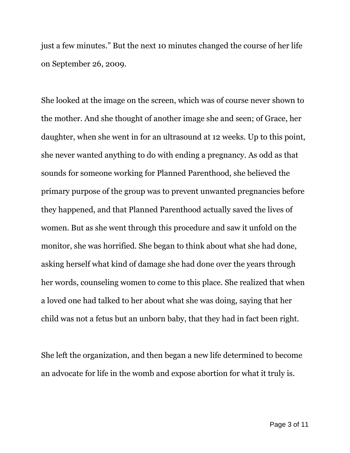just a few minutes." But the next 10 minutes changed the course of her life on September 26, 2009.

She looked at the image on the screen, which was of course never shown to the mother. And she thought of another image she and seen; of Grace, her daughter, when she went in for an ultrasound at 12 weeks. Up to this point, she never wanted anything to do with ending a pregnancy. As odd as that sounds for someone working for Planned Parenthood, she believed the primary purpose of the group was to prevent unwanted pregnancies before they happened, and that Planned Parenthood actually saved the lives of women. But as she went through this procedure and saw it unfold on the monitor, she was horrified. She began to think about what she had done, asking herself what kind of damage she had done over the years through her words, counseling women to come to this place. She realized that when a loved one had talked to her about what she was doing, saying that her child was not a fetus but an unborn baby, that they had in fact been right.

She left the organization, and then began a new life determined to become an advocate for life in the womb and expose abortion for what it truly is.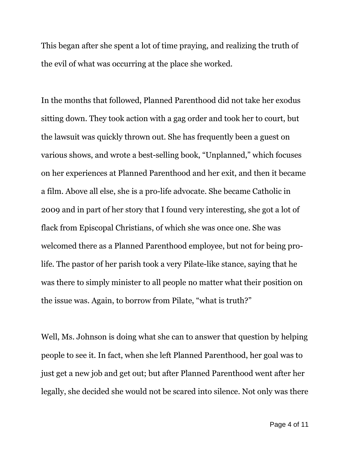This began after she spent a lot of time praying, and realizing the truth of the evil of what was occurring at the place she worked.

In the months that followed, Planned Parenthood did not take her exodus sitting down. They took action with a gag order and took her to court, but the lawsuit was quickly thrown out. She has frequently been a guest on various shows, and wrote a best-selling book, "Unplanned," which focuses on her experiences at Planned Parenthood and her exit, and then it became a film. Above all else, she is a pro-life advocate. She became Catholic in 2009 and in part of her story that I found very interesting, she got a lot of flack from Episcopal Christians, of which she was once one. She was welcomed there as a Planned Parenthood employee, but not for being prolife. The pastor of her parish took a very Pilate-like stance, saying that he was there to simply minister to all people no matter what their position on the issue was. Again, to borrow from Pilate, "what is truth?"

Well, Ms. Johnson is doing what she can to answer that question by helping people to see it. In fact, when she left Planned Parenthood, her goal was to just get a new job and get out; but after Planned Parenthood went after her legally, she decided she would not be scared into silence. Not only was there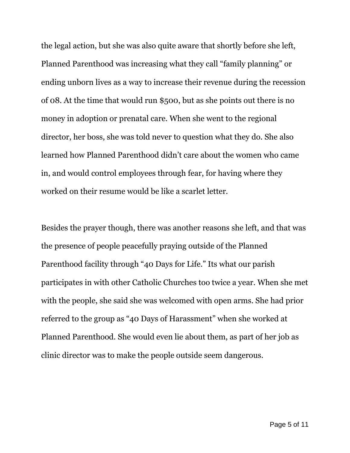the legal action, but she was also quite aware that shortly before she left, Planned Parenthood was increasing what they call "family planning" or ending unborn lives as a way to increase their revenue during the recession of 08. At the time that would run \$500, but as she points out there is no money in adoption or prenatal care. When she went to the regional director, her boss, she was told never to question what they do. She also learned how Planned Parenthood didn't care about the women who came in, and would control employees through fear, for having where they worked on their resume would be like a scarlet letter.

Besides the prayer though, there was another reasons she left, and that was the presence of people peacefully praying outside of the Planned Parenthood facility through "40 Days for Life." Its what our parish participates in with other Catholic Churches too twice a year. When she met with the people, she said she was welcomed with open arms. She had prior referred to the group as "40 Days of Harassment" when she worked at Planned Parenthood. She would even lie about them, as part of her job as clinic director was to make the people outside seem dangerous.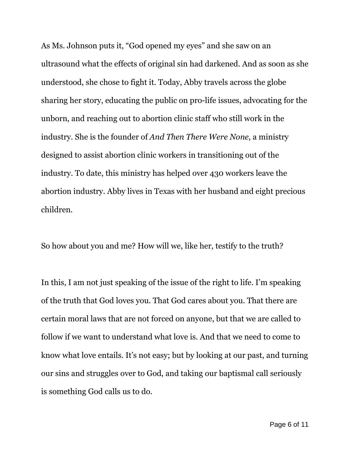As Ms. Johnson puts it, "God opened my eyes" and she saw on an ultrasound what the effects of original sin had darkened. And as soon as she understood, she chose to fight it. Today, Abby travels across the globe sharing her story, educating the public on pro-life issues, advocating for the unborn, and reaching out to abortion clinic staff who still work in the industry. She is the founder of *And Then There Were None*, a ministry designed to assist abortion clinic workers in transitioning out of the industry. To date, this ministry has helped over 430 workers leave the abortion industry. Abby lives in Texas with her husband and eight precious children.

So how about you and me? How will we, like her, testify to the truth?

In this, I am not just speaking of the issue of the right to life. I'm speaking of the truth that God loves you. That God cares about you. That there are certain moral laws that are not forced on anyone, but that we are called to follow if we want to understand what love is. And that we need to come to know what love entails. It's not easy; but by looking at our past, and turning our sins and struggles over to God, and taking our baptismal call seriously is something God calls us to do.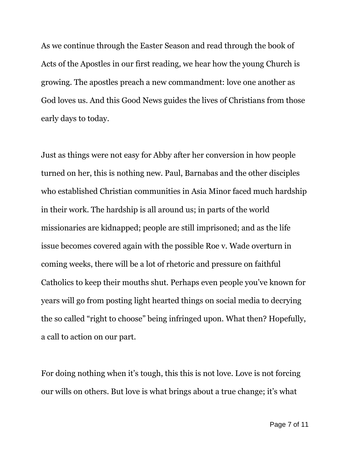As we continue through the Easter Season and read through the book of Acts of the Apostles in our first reading, we hear how the young Church is growing. The apostles preach a new commandment: love one another as God loves us. And this Good News guides the lives of Christians from those early days to today.

Just as things were not easy for Abby after her conversion in how people turned on her, this is nothing new. Paul, Barnabas and the other disciples who established Christian communities in Asia Minor faced much hardship in their work. The hardship is all around us; in parts of the world missionaries are kidnapped; people are still imprisoned; and as the life issue becomes covered again with the possible Roe v. Wade overturn in coming weeks, there will be a lot of rhetoric and pressure on faithful Catholics to keep their mouths shut. Perhaps even people you've known for years will go from posting light hearted things on social media to decrying the so called "right to choose" being infringed upon. What then? Hopefully, a call to action on our part.

For doing nothing when it's tough, this this is not love. Love is not forcing our wills on others. But love is what brings about a true change; it's what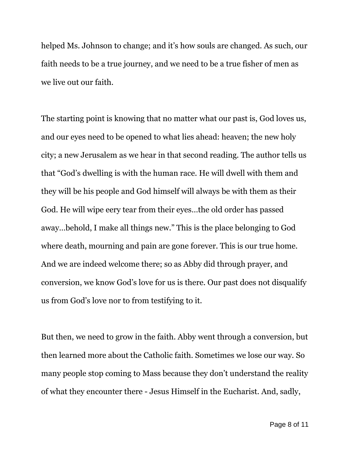helped Ms. Johnson to change; and it's how souls are changed. As such, our faith needs to be a true journey, and we need to be a true fisher of men as we live out our faith.

The starting point is knowing that no matter what our past is, God loves us, and our eyes need to be opened to what lies ahead: heaven; the new holy city; a new Jerusalem as we hear in that second reading. The author tells us that "God's dwelling is with the human race. He will dwell with them and they will be his people and God himself will always be with them as their God. He will wipe eery tear from their eyes…the old order has passed away…behold, I make all things new." This is the place belonging to God where death, mourning and pain are gone forever. This is our true home. And we are indeed welcome there; so as Abby did through prayer, and conversion, we know God's love for us is there. Our past does not disqualify us from God's love nor to from testifying to it.

But then, we need to grow in the faith. Abby went through a conversion, but then learned more about the Catholic faith. Sometimes we lose our way. So many people stop coming to Mass because they don't understand the reality of what they encounter there - Jesus Himself in the Eucharist. And, sadly,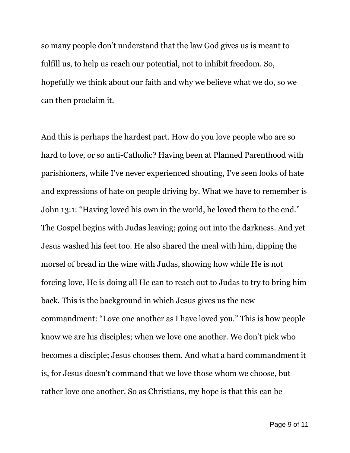so many people don't understand that the law God gives us is meant to fulfill us, to help us reach our potential, not to inhibit freedom. So, hopefully we think about our faith and why we believe what we do, so we can then proclaim it.

And this is perhaps the hardest part. How do you love people who are so hard to love, or so anti-Catholic? Having been at Planned Parenthood with parishioners, while I've never experienced shouting, I've seen looks of hate and expressions of hate on people driving by. What we have to remember is John 13:1: "Having loved his own in the world, he loved them to the end." The Gospel begins with Judas leaving; going out into the darkness. And yet Jesus washed his feet too. He also shared the meal with him, dipping the morsel of bread in the wine with Judas, showing how while He is not forcing love, He is doing all He can to reach out to Judas to try to bring him back. This is the background in which Jesus gives us the new commandment: "Love one another as I have loved you." This is how people know we are his disciples; when we love one another. We don't pick who becomes a disciple; Jesus chooses them. And what a hard commandment it is, for Jesus doesn't command that we love those whom we choose, but rather love one another. So as Christians, my hope is that this can be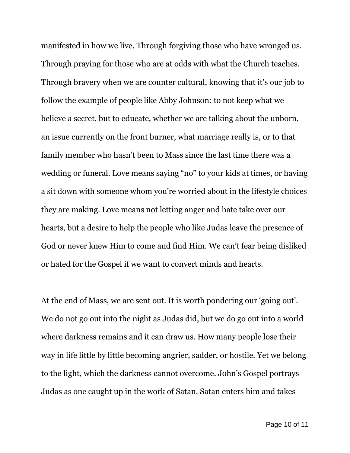manifested in how we live. Through forgiving those who have wronged us. Through praying for those who are at odds with what the Church teaches. Through bravery when we are counter cultural, knowing that it's our job to follow the example of people like Abby Johnson: to not keep what we believe a secret, but to educate, whether we are talking about the unborn, an issue currently on the front burner, what marriage really is, or to that family member who hasn't been to Mass since the last time there was a wedding or funeral. Love means saying "no" to your kids at times, or having a sit down with someone whom you're worried about in the lifestyle choices they are making. Love means not letting anger and hate take over our hearts, but a desire to help the people who like Judas leave the presence of God or never knew Him to come and find Him. We can't fear being disliked or hated for the Gospel if we want to convert minds and hearts.

At the end of Mass, we are sent out. It is worth pondering our 'going out'. We do not go out into the night as Judas did, but we do go out into a world where darkness remains and it can draw us. How many people lose their way in life little by little becoming angrier, sadder, or hostile. Yet we belong to the light, which the darkness cannot overcome. John's Gospel portrays Judas as one caught up in the work of Satan. Satan enters him and takes